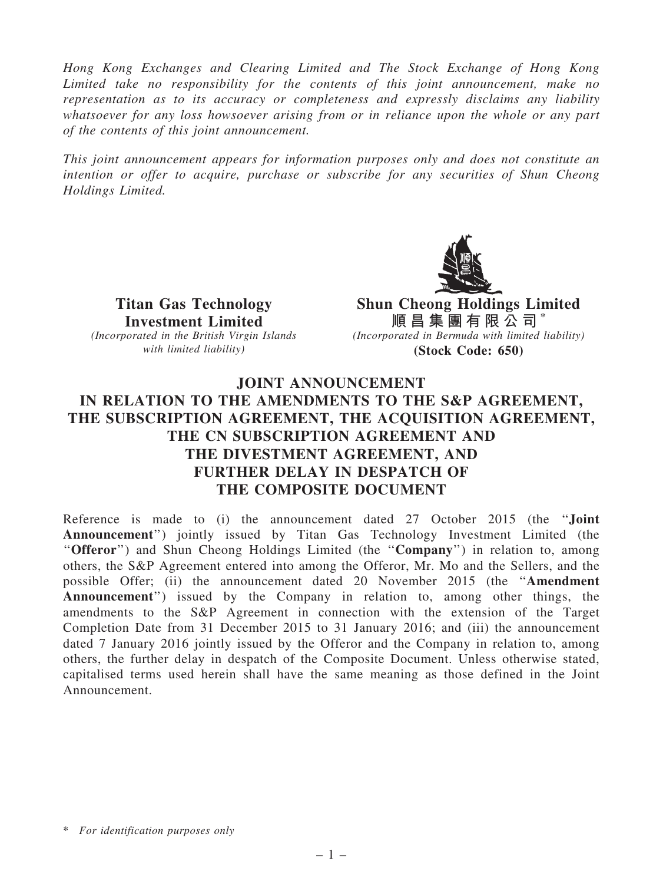Hong Kong Exchanges and Clearing Limited and The Stock Exchange of Hong Kong Limited take no responsibility for the contents of this joint announcement, make no representation as to its accuracy or completeness and expressly disclaims any liability whatsoever for any loss howsoever arising from or in reliance upon the whole or any part of the contents of this joint announcement.

This joint announcement appears for information purposes only and does not constitute an intention or offer to acquire, purchase or subscribe for any securities of Shun Cheong Holdings Limited.



Titan Gas Technology Investment Limited

(Incorporated in the British Virgin Islands with limited liability)

Shun Cheong Holdings Limited 順 昌 集 團 有 限 公 司 \* (Incorporated in Bermuda with limited liability) (Stock Code: 650)

## JOINT ANNOUNCEMENT IN RELATION TO THE AMENDMENTS TO THE S&P AGREEMENT, THE SUBSCRIPTION AGREEMENT, THE ACQUISITION AGREEMENT, THE CN SUBSCRIPTION AGREEMENT AND THE DIVESTMENT AGREEMENT, AND FURTHER DELAY IN DESPATCH OF THE COMPOSITE DOCUMENT

Reference is made to (i) the announcement dated 27 October 2015 (the ''Joint Announcement'') jointly issued by Titan Gas Technology Investment Limited (the "Offeror") and Shun Cheong Holdings Limited (the "Company") in relation to, among others, the S&P Agreement entered into among the Offeror, Mr. Mo and the Sellers, and the possible Offer; (ii) the announcement dated 20 November 2015 (the ''Amendment Announcement'') issued by the Company in relation to, among other things, the amendments to the S&P Agreement in connection with the extension of the Target Completion Date from 31 December 2015 to 31 January 2016; and (iii) the announcement dated 7 January 2016 jointly issued by the Offeror and the Company in relation to, among others, the further delay in despatch of the Composite Document. Unless otherwise stated, capitalised terms used herein shall have the same meaning as those defined in the Joint Announcement.

<sup>\*</sup> For identification purposes only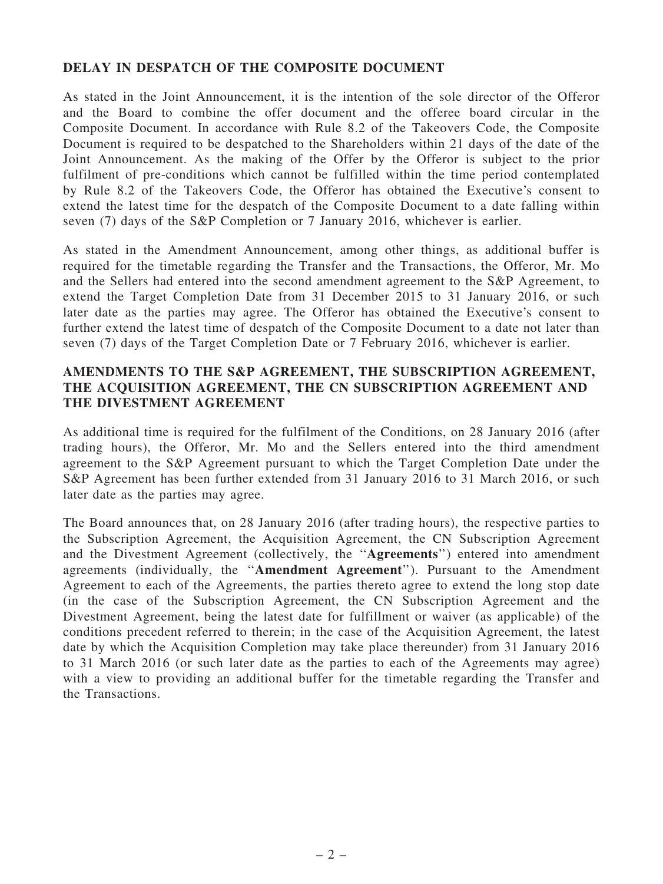## DELAY IN DESPATCH OF THE COMPOSITE DOCUMENT

As stated in the Joint Announcement, it is the intention of the sole director of the Offeror and the Board to combine the offer document and the offeree board circular in the Composite Document. In accordance with Rule 8.2 of the Takeovers Code, the Composite Document is required to be despatched to the Shareholders within 21 days of the date of the Joint Announcement. As the making of the Offer by the Offeror is subject to the prior fulfilment of pre-conditions which cannot be fulfilled within the time period contemplated by Rule 8.2 of the Takeovers Code, the Offeror has obtained the Executive's consent to extend the latest time for the despatch of the Composite Document to a date falling within seven (7) days of the S&P Completion or 7 January 2016, whichever is earlier.

As stated in the Amendment Announcement, among other things, as additional buffer is required for the timetable regarding the Transfer and the Transactions, the Offeror, Mr. Mo and the Sellers had entered into the second amendment agreement to the S&P Agreement, to extend the Target Completion Date from 31 December 2015 to 31 January 2016, or such later date as the parties may agree. The Offeror has obtained the Executive's consent to further extend the latest time of despatch of the Composite Document to a date not later than seven (7) days of the Target Completion Date or 7 February 2016, whichever is earlier.

## AMENDMENTS TO THE S&P AGREEMENT, THE SUBSCRIPTION AGREEMENT, THE ACQUISITION AGREEMENT, THE CN SUBSCRIPTION AGREEMENT AND THE DIVESTMENT AGREEMENT

As additional time is required for the fulfilment of the Conditions, on 28 January 2016 (after trading hours), the Offeror, Mr. Mo and the Sellers entered into the third amendment agreement to the S&P Agreement pursuant to which the Target Completion Date under the S&P Agreement has been further extended from 31 January 2016 to 31 March 2016, or such later date as the parties may agree.

The Board announces that, on 28 January 2016 (after trading hours), the respective parties to the Subscription Agreement, the Acquisition Agreement, the CN Subscription Agreement and the Divestment Agreement (collectively, the ''Agreements'') entered into amendment agreements (individually, the ''Amendment Agreement''). Pursuant to the Amendment Agreement to each of the Agreements, the parties thereto agree to extend the long stop date (in the case of the Subscription Agreement, the CN Subscription Agreement and the Divestment Agreement, being the latest date for fulfillment or waiver (as applicable) of the conditions precedent referred to therein; in the case of the Acquisition Agreement, the latest date by which the Acquisition Completion may take place thereunder) from 31 January 2016 to 31 March 2016 (or such later date as the parties to each of the Agreements may agree) with a view to providing an additional buffer for the timetable regarding the Transfer and the Transactions.